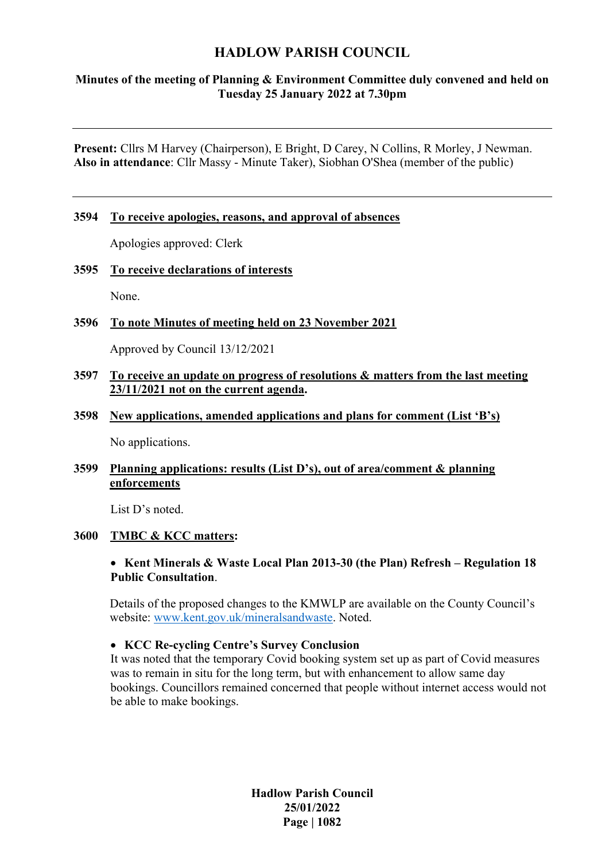# **HADLOW PARISH COUNCIL**

# **Minutes of the meeting of Planning & Environment Committee duly convened and held on Tuesday 25 January 2022 at 7.30pm**

**Present:** Cllrs M Harvey (Chairperson), E Bright, D Carey, N Collins, R Morley, J Newman. **Also in attendance**: Cllr Massy - Minute Taker), Siobhan O'Shea (member of the public)

#### **3594 To receive apologies, reasons, and approval of absences**

Apologies approved: Clerk

#### **3595 To receive declarations of interests**

None.

### **3596 To note Minutes of meeting held on 23 November 2021**

Approved by Council 13/12/2021

### **3597 To receive an update on progress of resolutions & matters from the last meeting 23/11/2021 not on the current agenda.**

#### **3598 New applications, amended applications and plans for comment (List 'B's)**

No applications.

### **3599 Planning applications: results (List D's), out of area/comment & planning enforcements**

List D's noted.

#### **3600 TMBC & KCC matters:**

#### • **Kent Minerals & Waste Local Plan 2013-30 (the Plan) Refresh – Regulation 18 Public Consultation**.

Details of the proposed changes to the KMWLP are available on the County Council's website: [www.kent.gov.uk/mineralsandwaste.](http://www.kent.gov.uk/mineralsandwaste) Noted.

#### • **KCC Re-cycling Centre's Survey Conclusion**

It was noted that the temporary Covid booking system set up as part of Covid measures was to remain in situ for the long term, but with enhancement to allow same day bookings. Councillors remained concerned that people without internet access would not be able to make bookings.

> **Hadlow Parish Council 25/01/2022 Page | 1082**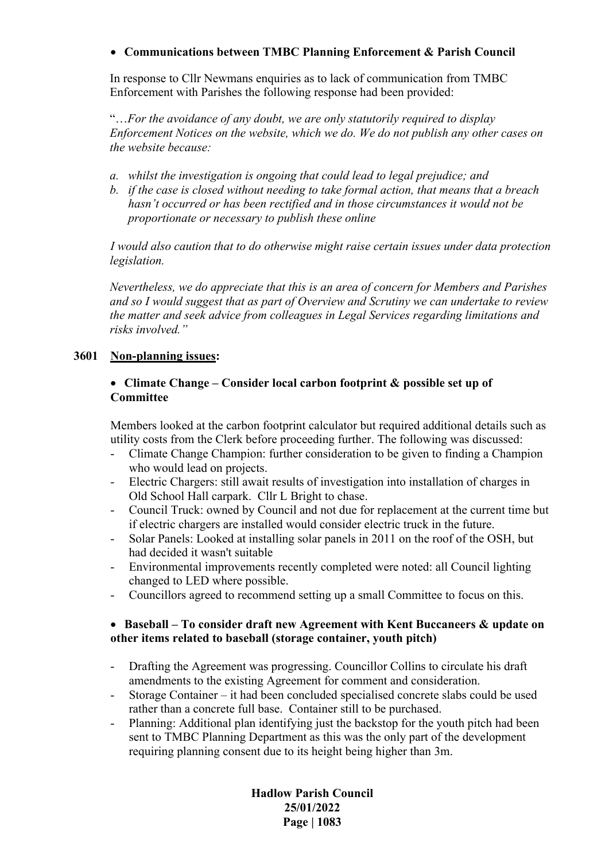# • **Communications between TMBC Planning Enforcement & Parish Council**

In response to Cllr Newmans enquiries as to lack of communication from TMBC Enforcement with Parishes the following response had been provided:

"…*For the avoidance of any doubt, we are only statutorily required to display Enforcement Notices on the website, which we do. We do not publish any other cases on the website because:*

- *a. whilst the investigation is ongoing that could lead to legal prejudice; and*
- *b. if the case is closed without needing to take formal action, that means that a breach hasn't occurred or has been rectified and in those circumstances it would not be proportionate or necessary to publish these online*

*I would also caution that to do otherwise might raise certain issues under data protection legislation.* 

*Nevertheless, we do appreciate that this is an area of concern for Members and Parishes and so I would suggest that as part of Overview and Scrutiny we can undertake to review the matter and seek advice from colleagues in Legal Services regarding limitations and risks involved."*

# **3601 Non-planning issues:**

# • **Climate Change – Consider local carbon footprint & possible set up of Committee**

Members looked at the carbon footprint calculator but required additional details such as utility costs from the Clerk before proceeding further. The following was discussed:

- Climate Change Champion: further consideration to be given to finding a Champion who would lead on projects.
- Electric Chargers: still await results of investigation into installation of charges in Old School Hall carpark. Cllr L Bright to chase.
- Council Truck: owned by Council and not due for replacement at the current time but if electric chargers are installed would consider electric truck in the future.
- Solar Panels: Looked at installing solar panels in 2011 on the roof of the OSH, but had decided it wasn't suitable
- Environmental improvements recently completed were noted: all Council lighting changed to LED where possible.
- Councillors agreed to recommend setting up a small Committee to focus on this.

# • **Baseball – To consider draft new Agreement with Kent Buccaneers & update on other items related to baseball (storage container, youth pitch)**

- Drafting the Agreement was progressing. Councillor Collins to circulate his draft amendments to the existing Agreement for comment and consideration.
- Storage Container it had been concluded specialised concrete slabs could be used rather than a concrete full base. Container still to be purchased.
- Planning: Additional plan identifying just the backstop for the youth pitch had been sent to TMBC Planning Department as this was the only part of the development requiring planning consent due to its height being higher than 3m.

**Hadlow Parish Council 25/01/2022 Page | 1083**